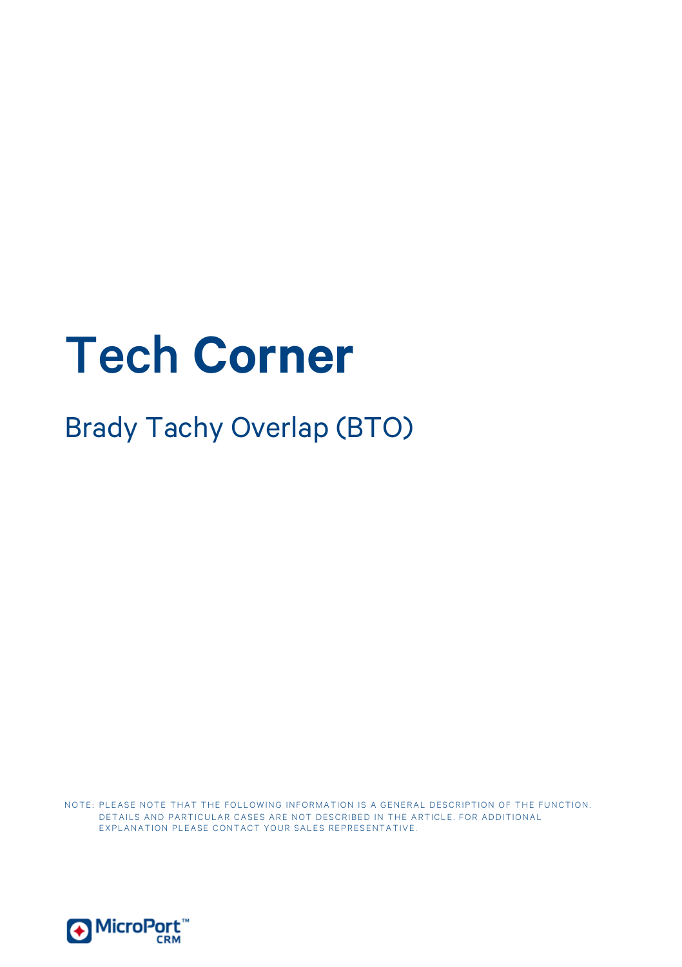# Tech **Corner**

Brady Tachy Overlap (BTO)

NOTE: PLEASE NOTE THAT THE FOLLOWING INFORMATION IS A GENERAL DESCRIPTION OF THE FUNCTION. DETAILS AND PARTICULAR CASES ARE NOT DESCRIBED IN THE ARTICLE. FOR ADDITIONAL EXPLANATION PLEASE CONTACT YOUR SALES REPRESENTATIVE.

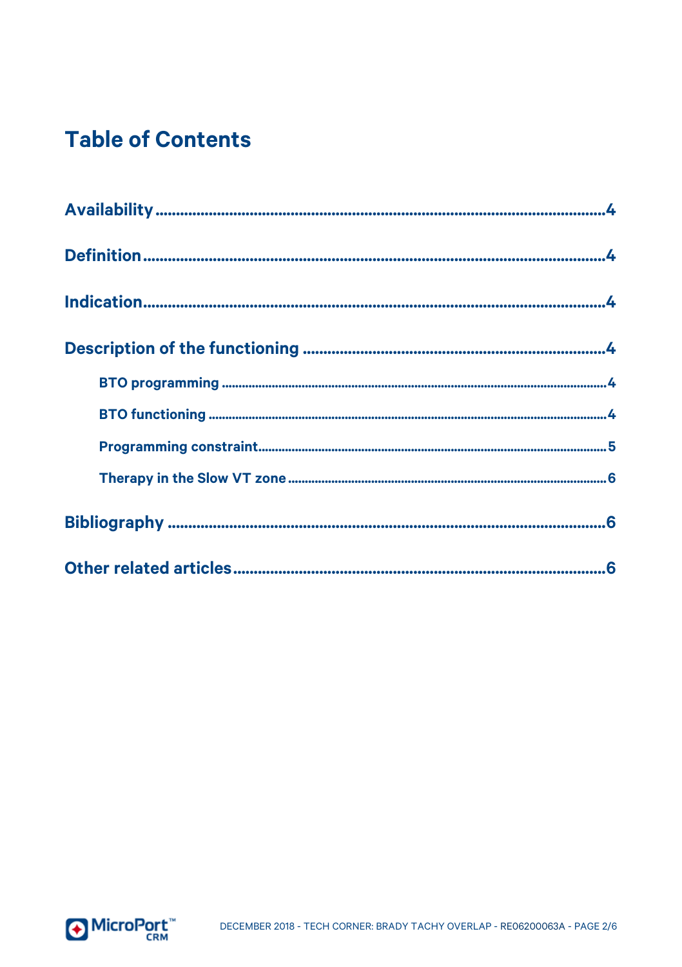### **Table of Contents**

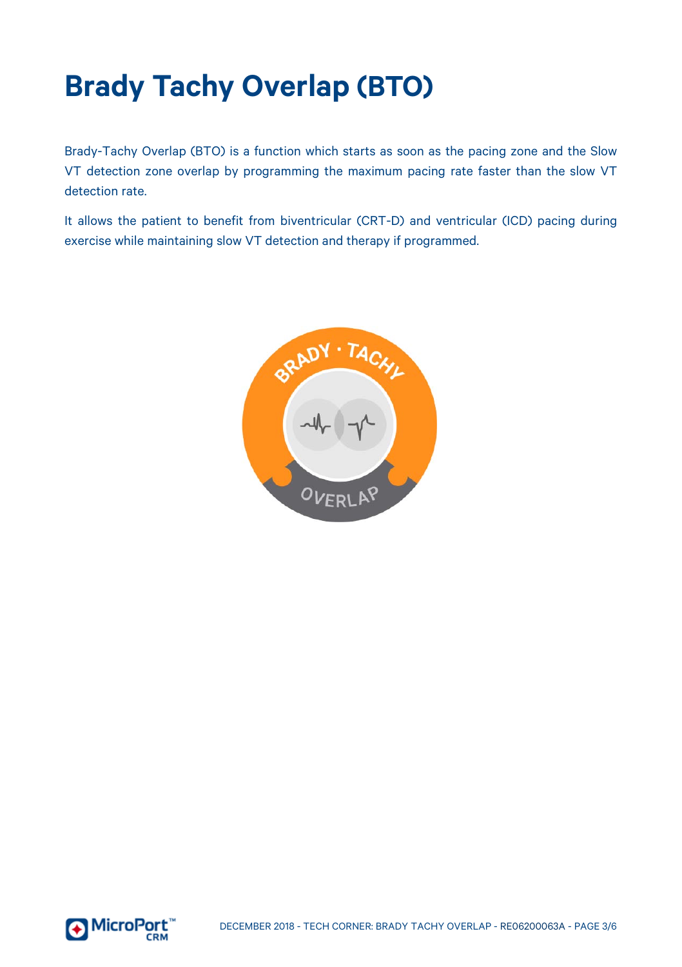## **Brady Tachy Overlap (BTO)**

Brady-Tachy Overlap (BTO) is a function which starts as soon as the pacing zone and the Slow VT detection zone overlap by programming the maximum pacing rate faster than the slow VT detection rate.

It allows the patient to benefit from biventricular (CRT-D) and ventricular (ICD) pacing during exercise while maintaining slow VT detection and therapy if programmed.



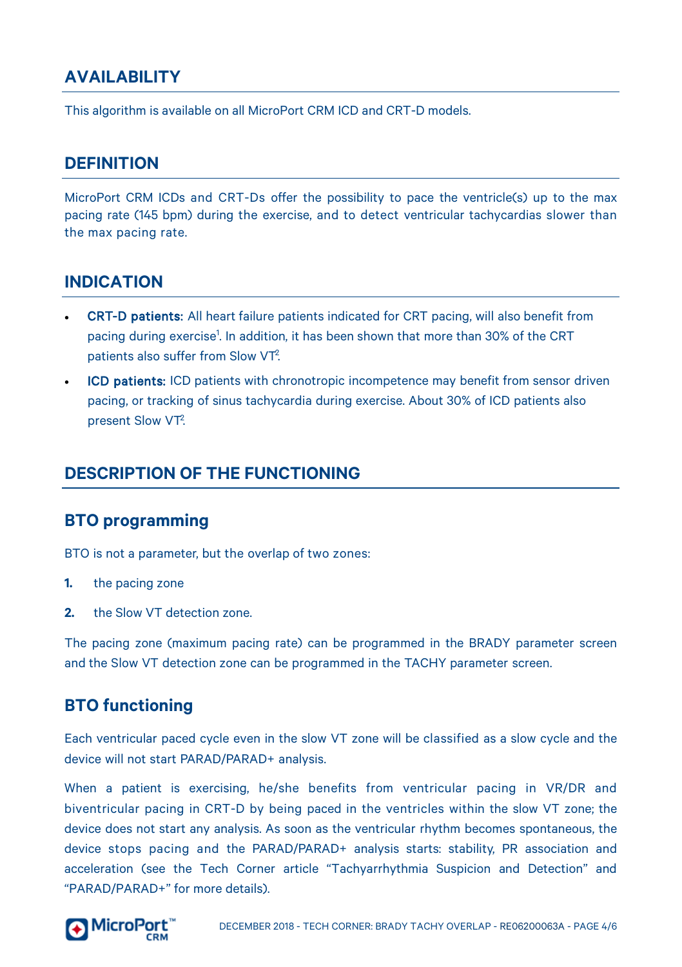#### <span id="page-3-0"></span>**AVAILABILITY**

<span id="page-3-1"></span>This algorithm is available on all MicroPort CRM ICD and CRT-D models.

#### **DEFINITION**

MicroPort CRM ICDs and CRT-Ds offer the possibility to pace the ventricle(s) up to the max pacing rate (145 bpm) during the exercise, and to detect ventricular tachycardias slower than the max pacing rate.

#### <span id="page-3-2"></span>**INDICATION**

- CRT-D patients: All heart failure patients indicated for CRT pacing, will also benefit from pacing during exercise<sup>1</sup>. In addition, it has been shown that more than 30% of the CRT patients also suffer from Slow VT<sup>2</sup>. .
- ICD patients: ICD patients with chronotropic incompetence may benefit from sensor driven pacing, or tracking of sinus tachycardia during exercise. About 30% of ICD patients also present Slow VT<sup>2</sup>. .

#### <span id="page-3-3"></span>**DESCRIPTION OF THE FUNCTIONING**

#### <span id="page-3-4"></span>**BTO programming**

BTO is not a parameter, but the overlap of two zones:

- **1.** the pacing zone
- **2.** the Slow VT detection zone.

The pacing zone (maximum pacing rate) can be programmed in the BRADY parameter screen and the Slow VT detection zone can be programmed in the TACHY parameter screen.

#### <span id="page-3-5"></span>**BTO functioning**

Each ventricular paced cycle even in the slow VT zone will be classified as a slow cycle and the device will not start PARAD/PARAD+ analysis.

When a patient is exercising, he/she benefits from ventricular pacing in VR/DR and biventricular pacing in CRT-D by being paced in the ventricles within the slow VT zone; the device does not start any analysis. As soon as the ventricular rhythm becomes spontaneous, the device stops pacing and the PARAD/PARAD+ analysis starts: stability, PR association and acceleration (see the Tech Corner article "Tachyarrhythmia Suspicion and Detection" and "PARAD/PARAD+" for more details).

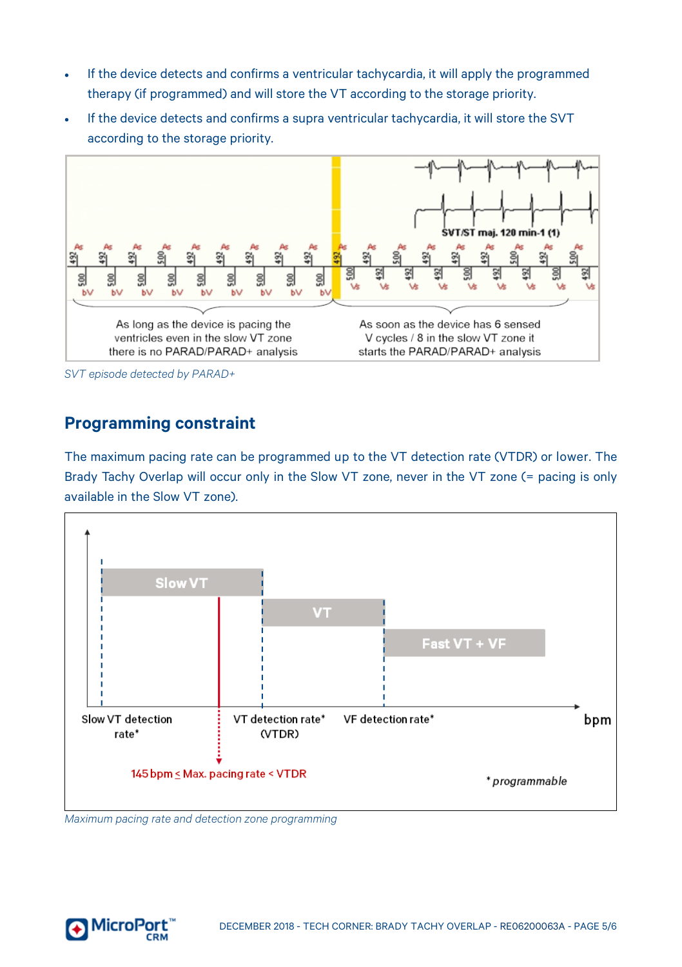- If the device detects and confirms a ventricular tachycardia, it will apply the programmed therapy (if programmed) and will store the VT according to the storage priority.
- If the device detects and confirms a supra ventricular tachycardia, it will store the SVT according to the storage priority.



*SVT episode detected by PARAD+*

#### <span id="page-4-0"></span>**Programming constraint**

The maximum pacing rate can be programmed up to the VT detection rate (VTDR) or lower. The Brady Tachy Overlap will occur only in the Slow VT zone, never in the VT zone (= pacing is only available in the Slow VT zone).



*Maximum pacing rate and detection zone programming*